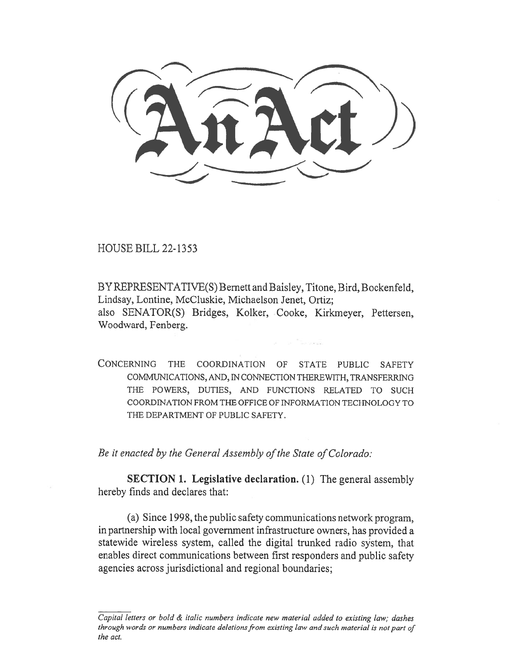HOUSE BILL 22-1353

BY REPRESENTATIVE(S) Bernett and Baisley, Titone, Bird, Bockenfeld, Lindsay, Lontine, McCluskie, Michaelson Jenet, Ortiz; also SENATOR(S) Bridges, Kolker, Cooke, Kirkmeyer, Pettersen, Woodward, Fenberg.

CONCERNING THE COORDINATION OF STATE PUBLIC SAFETY COMMUNICATIONS, AND, IN CONNECTION THEREWITH, TRANSFERRING THE POWERS, DUTIES, AND FUNCTIONS RELATED TO SUCH COORDINATION FROM THE OFFICE OF INFORMATION TECHNOLOGY TO THE DEPARTMENT OF PUBLIC SAFETY.

Be it enacted by the General Assembly of the State of Colorado:

SECTION 1. Legislative declaration. (1) The general assembly hereby finds and declares that:

(a) Since 1998, the public safety communications network program, in partnership with local government infrastructure owners, has provided a statewide wireless system, called the digital trunked radio system, that enables direct communications between first responders and public safety agencies across jurisdictional and regional boundaries;

Capital letters or bold & italic numbers indicate new material added to existing law; dashes through words or numbers indicate deletions from existing law and such material is not part of the act.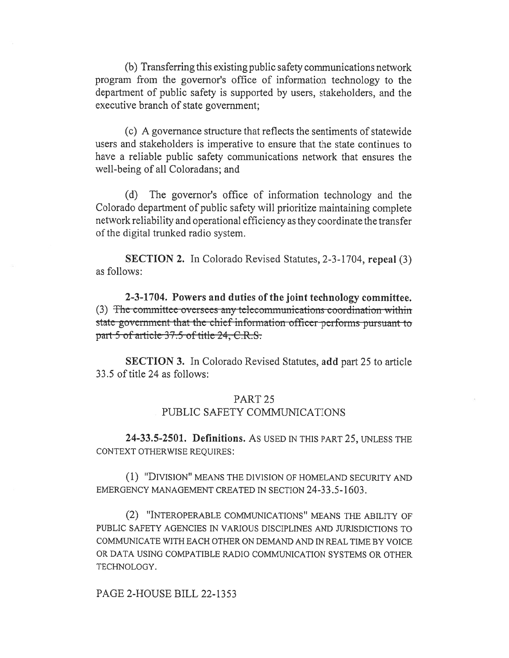(b) Transferring this existing public safety communications network program from the governor's office of information technology to the department of public safety is supported by users, stakeholders, and the executive branch of state government;

(c) A governance structure that reflects the sentiments of statewide users and stakeholders is imperative to ensure that the state continues to have a reliable public safety communications network that ensures the well-being of all Coloradans; and

(d) The governor's office of information technology and the Colorado department of public safety will prioritize maintaining complete network reliability and operational efficiency as they coordinate the transfer of the digital trunked radio system.

**SECTION 2.** In Colorado Revised Statutes, 2-3-1704, repeal (3) as follows:

2-3-1704. Powers and duties of the joint technology committee. (3) The committee oversees any telecommunications coordination within state government that the chief information officer performs pursuant to part 5 of article 37.5 of title 24, C.R.S.

**SECTION 3.** In Colorado Revised Statutes, add part 25 to article 33.5 of title 24 as follows:

# PART<sub>25</sub>

# PUBLIC SAFETY COMMUNICATIONS

24-33.5-2501. Definitions. As USED IN THIS PART 25, UNLESS THE CONTEXT OTHERWISE REQUIRES:

(1) "DIVISION" MEANS THE DIVISION OF HOMELAND SECURITY AND EMERGENCY MANAGEMENT CREATED IN SECTION 24-33.5-1603.

(2) "INTEROPERABLE COMMUNICATIONS" MEANS THE ABILITY OF PUBLIC SAFETY AGENCIES IN VARIOUS DISCIPLINES AND JURISDICTIONS TO COMMUNICATE WITH EACH OTHER ON DEMAND AND IN REAL TIME BY VOICE OR DATA USING COMPATIBLE RADIO COMMUNICATION SYSTEMS OR OTHER TECHNOLOGY.

PAGE 2-HOUSE BILL 22-1353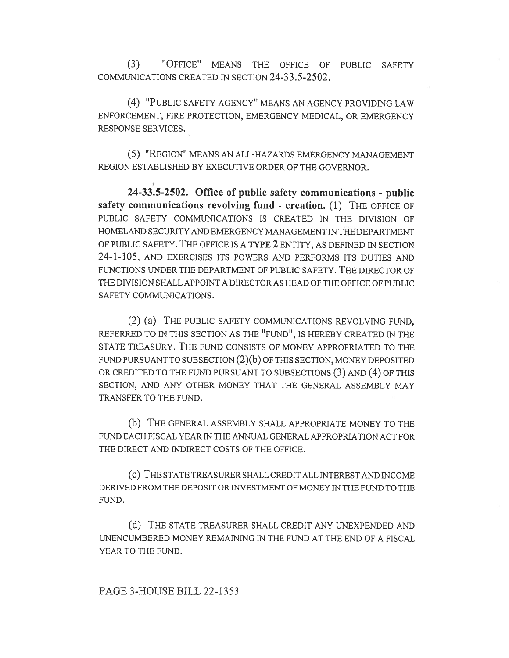(3) "OFFICE" MEANS THE OFFICE OF PUBLIC SAFETY COMMUNICATIONS CREATED IN SECTION 24-33.5-2502.

(4) "PUBLIC SAFETY AGENCY" MEANS AN AGENCY PROVIDING LAW ENFORCEMENT, FIRE PROTECTION, EMERGENCY MEDICAL, OR EMERGENCY RESPONSE SERVICES.

(5) "REGION" MEANS AN ALL-HAZARDS EMERGENCY MANAGEMENT REGION ESTABLISHED BY EXECUTIVE ORDER OF THE GOVERNOR.

24-33.5-2502. Office of public safety communications - public safety communications revolving fund - creation. (1) THE OFFICE OF PUBLIC SAFETY COMMUNICATIONS IS CREATED IN THE DIVISION OF HOMELAND SECURITY AND EMERGENCY MANAGEMENT IN THE DEPARTMENT OF PUBLIC SAFETY. THE OFFICE IS A TYPE 2 ENTITY, AS DEFINED IN SECTION 24-1-105, AND EXERCISES ITS POWERS AND PERFORMS ITS DUTIES AND FUNCTIONS UNDER THE DEPARTMENT OF PUBLIC SAFETY. THE DIRECTOR OF THE DIVISION SHALL APPOINT A DIRECTOR AS HEAD OF THE OFFICE OF PUBLIC SAFETY COMMUNICATIONS.

(2) (a) THE PUBLIC SAFETY COMMUNICATIONS REVOLVING FUND, REFERRED TO IN THIS SECTION AS THE "FUND", IS HEREBY CREATED IN THE STATE TREASURY. THE FUND CONSISTS OF MONEY APPROPRIATED TO THE FUND PURSUANT TO SUBSECTION (2)(b) OF THIS SECTION, MONEY DEPOSITED OR CREDITED TO THE FUND PURSUANT TO SUBSECTIONS (3) AND (4) OF THIS SECTION, AND ANY OTHER MONEY THAT THE GENERAL ASSEMBLY MAY TRANSFER TO THE FUND.

(b) THE GENERAL ASSEMBLY SHALL APPROPRIATE MONEY TO THE FUND EACH FISCAL YEAR IN THE ANNUAL GENERAL APPROPRIATION ACT FOR THE DIRECT AND INDIRECT COSTS OF THE OFFICE.

(c) THE STATE TREASURER SHALL CREDIT ALL INTEREST AND INCOME DERIVED FROM THE DEPOSIT OR INVESTMENT OF MONEY IN THE FUND TO THE FUND.

(d) THE STATE TREASURER SHALL CREDIT ANY UNEXPENDED AND UNENCUMBERED MONEY REMAINING IN THE FUND AT THE END OF A FISCAL YEAR TO THE FUND.

PAGE 3-HOUSE BILL 22-1353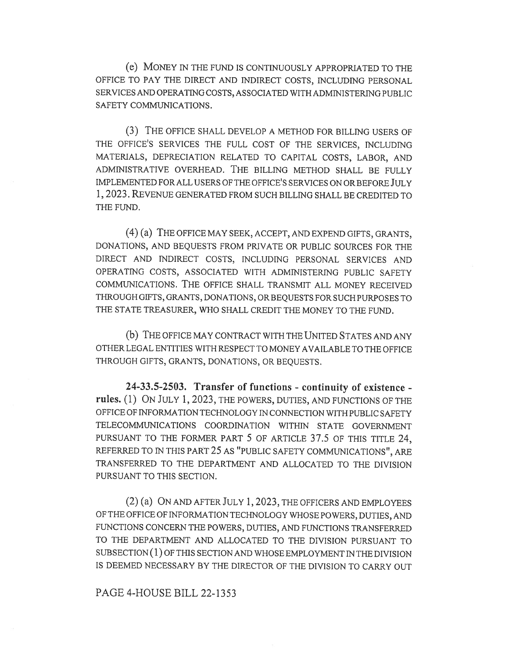(e) MONEY IN THE FUND IS CONTINUOUSLY APPROPRIATED TO THE OFFICE TO PAY THE DIRECT AND INDIRECT COSTS, INCLUDING PERSONAL SERVICES AND OPERATING COSTS, ASSOCIATED WITH ADMINISTERING PUBLIC SAFETY COMMUNICATIONS.

(3) THE OFFICE SHALL DEVELOP A METHOD FOR BILLING USERS OF THE OFFICE'S SERVICES THE FULL COST OF THE SERVICES, INCLUDING MATERIALS, DEPRECIATION RELATED TO CAPITAL COSTS, LABOR, AND ADMINISTRATIVE OVERHEAD. THE BILLING METHOD SHALL BE FULLY IMPLEMENTED FOR ALL USERS OF THE OFFICE'S SERVICES ON OR BEFORE JULY 1, 2023. REVENUE GENERATED FROM SUCH BILLING SHALL BE CREDITED TO THE FUND.

(4) (a) THE OFFICE MAY SEEK, ACCEPT, AND EXPEND GIFTS, GRANTS, DONATIONS, AND BEQUESTS FROM PRIVATE OR PUBLIC SOURCES FOR THE DIRECT AND INDIRECT COSTS, INCLUDING PERSONAL SERVICES AND OPERATING COSTS, ASSOCIATED WITH ADMINISTERING PUBLIC SAFETY COMMUNICATIONS. THE OFFICE SHALL TRANSMIT ALL MONEY RECEIVED THROUGH GIFTS, GRANTS, DONATIONS, OR BEQUESTS FOR SUCH PURPOSES TO THE STATE TREASURER, WHO SHALL CREDIT THE MONEY TO THE FUND.

(b) THE OFFICE MAY CONTRACT WITH THE UNITED STATES AND ANY OTHER LEGAL ENTITIES WITH RESPECT TO MONEY AVAILABLE TO THE OFFICE THROUGH GIFTS, GRANTS, DONATIONS, OR BEQUESTS.

24-33.5-2503. Transfer of functions - continuity of existence rules. (1) ON JULY 1, 2023, THE POWERS, DUTIES, AND FUNCTIONS OF THE OFFICE OF INFORMATION TECHNOLOGY IN CONNECTION WITH PUBLIC SAFETY TELECOMMUNICATIONS COORDINATION WITHIN STATE GOVERNMENT PURSUANT TO THE FORMER PART 5 OF ARTICLE 37.5 OF THIS TITLE 24, REFERRED TO IN THIS PART 25 AS "PUBLIC SAFETY COMMUNICATIONS", ARE TRANSFERRED TO THE DEPARTMENT AND ALLOCATED TO THE DIVISION PURSUANT TO THIS SECTION.

(2) (a) ON AND AFTER JULY 1, 2023, THE OFFICERS AND EMPLOYEES OF THE OFFICE OF INFORMATION TECHNOLOGY WHOSE POWERS, DUTIES, AND FUNCTIONS CONCERN THE POWERS, DUTIES, AND FUNCTIONS TRANSFERRED TO THE DEPARTMENT AND ALLOCATED TO THE DIVISION PURSUANT TO SUBSECTION (1) OF THIS SECTION AND WHOSE EMPLOYMENT IN THE DIVISION IS DEEMED NECESSARY BY THE DIRECTOR OF THE DIVISION TO CARRY OUT

#### PAGE 4-HOUSE BILL 22-1353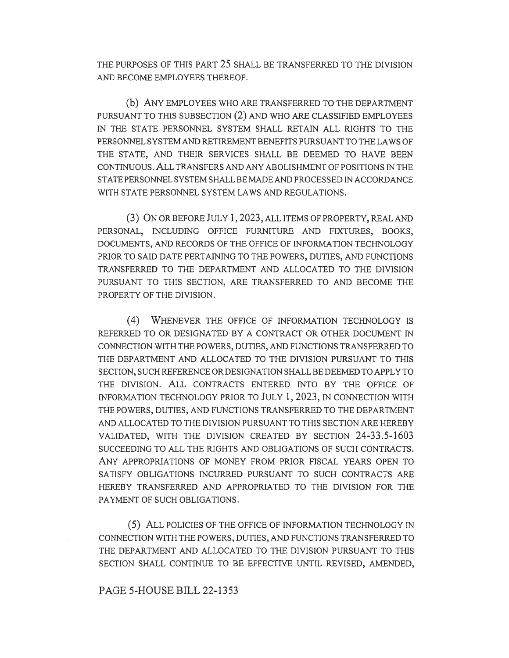THE PURPOSES OF THIS PART 25 SHALL BE TRANSFERRED TO THE DIVISION AND BECOME EMPLOYEES THEREOF.

(b) ANY EMPLOYEES WHO ARE TRANSFERRED TO THE DEPARTMENT PURSUANT TO THIS SUBSECTION (2) AND WHO ARE CLASSIFIED EMPLOYEES IN THE STATE PERSONNEL SYSTEM SHALL RETAIN ALL RIGHTS TO THE PERSONNEL SYSTEM AND RETIREMENT BENEFITS PURSUANT TO THE LAWS OF THE STATE, AND THEIR SERVICES SHALL BE DEEMED TO HAVE BEEN CONTINUOUS. ALL TRANSFERS AND ANY ABOLISHMENT OF POSITIONS IN THE STATE PERSONNEL SYSTEM SHALL BE MADE AND PROCESSED IN ACCORDANCE WITH STATE PERSONNEL SYSTEM LAWS AND REGULATIONS.

(3) ON OR BEFORE JULY 1, 2023, ALL ITEMS OF PROPERTY, REAL AND PERSONAL, INCLUDING OFFICE FURNITURE AND FIXTURES, BOOKS, DOCUMENTS, AND RECORDS OF THE OFFICE OF INFORMATION TECHNOLOGY PRIOR TO SAID DATE PERTAINING TO THE POWERS, DUTIES, AND FUNCTIONS TRANSFERRED TO THE DEPARTMENT AND ALLOCATED TO THE DIVISION PURSUANT TO THIS SECTION, ARE TRANSFERRED TO AND BECOME THE PROPERTY OF THE DIVISION.

(4) WHENEVER THE OFFICE OF INFORMATION TECHNOLOGY IS REFERRED TO OR DESIGNATED BY A CONTRACT OR OTHER DOCUMENT IN CONNECTION WITH THE POWERS, DUTIES, AND FUNCTIONS TRANSFERRED TO THE DEPARTMENT AND ALLOCATED TO THE DIVISION PURSUANT TO THIS SECTION, SUCH REFERENCE OR DESIGNATION SHALL BE DEEMED TO APPLY TO THE DIVISION. ALL CONTRACTS ENTERED INTO BY THE OFFICE OF INFORMATION TECHNOLOGY PRIOR TO JULY 1, 2023, IN CONNECTION WITH THE POWERS, DUTIES, AND FUNCTIONS TRANSFERRED TO THE DEPARTMENT AND ALLOCATED TO THE DIVISION PURSUANT TO THIS SECTION ARE HEREBY VALIDATED, WITH THE DIVISION CREATED BY SECTION 24-33.5-1603 SUCCEEDING TO ALL THE RIGHTS AND OBLIGATIONS OF SUCH CONTRACTS. ANY APPROPRIATIONS OF MONEY FROM PRIOR FISCAL YEARS OPEN TO SATISFY OBLIGATIONS INCURRED PURSUANT TO SUCH CONTRACTS ARE HEREBY TRANSFERRED AND APPROPRIATED TO THE DIVISION FOR THE PAYMENT OF SUCH OBLIGATIONS.

(5) ALL POLICIES OF THE OFFICE OF INFORMATION TECHNOLOGY IN CONNECTION WITH THE POWERS, DUTIES, AND FUNCTIONS TRANSFERRED TO THE DEPARTMENT AND ALLOCATED TO THE DIVISION PURSUANT TO THIS SECTION SHALL CONTINUE TO BE EFFECTIVE UNTIL REVISED, AMENDED,

### PAGE 5-HOUSE BILL 22-1353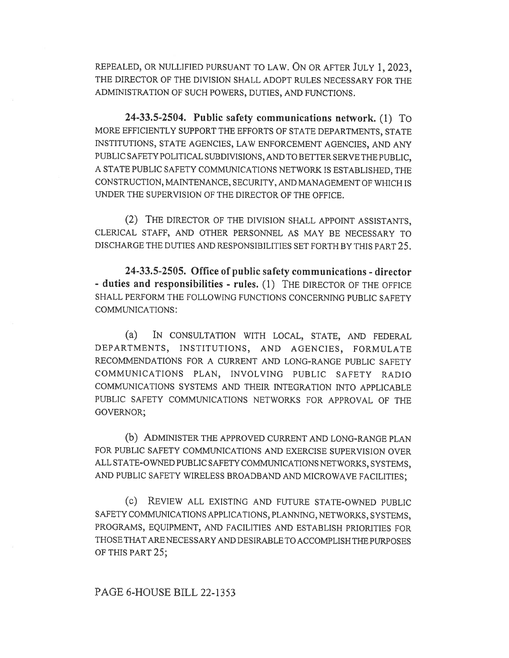REPEALED, OR NULLIFIED PURSUANT TO LAW. ON OR AFTER JULY 1, 2023, THE DIRECTOR OF THE DIVISION SHALL ADOPT RULES NECESSARY FOR THE ADMINISTRATION OF SUCH POWERS, DUTIES, AND FUNCTIONS.

24-33.5-2504. Public safety communications network. (1) To MORE EFFICIENTLY SUPPORT THE EFFORTS OF STATE DEPARTMENTS, STATE INSTITUTIONS, STATE AGENCIES, LAW ENFORCEMENT AGENCIES, AND ANY PUBLIC SAFETY POLITICAL SUBDIVISIONS, AND TO BETTER SERVE THE PUBLIC, A STATE PUBLIC SAFETY COMMUNICATIONS NETWORK IS ESTABLISHED, THE CONSTRUCTION, MAINTENANCE, SECURITY, AND MANAGEMENT OF WHICH IS UNDER THE SUPERVISION OF THE DIRECTOR OF THE OFFICE.

(2) THE DIRECTOR OF THE DIVISION SHALL APPOINT ASSISTANTS, CLERICAL STAFF, AND OTHER PERSONNEL AS MAY BE NECESSARY TO DISCHARGE THE DUTIES AND RESPONSIBILITIES SET FORTH BY THIS PART 25.

24-33.5-2505. Office of public safety communications - director - duties and responsibilities - rules. (1) THE DIRECTOR OF THE OFFICE SHALL PERFORM THE FOLLOWING FUNCTIONS CONCERNING PUBLIC SAFETY COMMUNICATIONS:

(a) IN CONSULTATION WITH LOCAL, STATE, AND FEDERAL DEPARTMENTS, INSTITUTIONS, AND AGENCIES, FORMULATE RECOMMENDATIONS FOR A CURRENT AND LONG-RANGE PUBLIC SAFETY COMMUNICATIONS PLAN, INVOLVING PUBLIC SAFETY RADIO COMMUNICATIONS SYSTEMS AND THEIR INTEGRATION INTO APPLICABLE PUBLIC SAFETY COMMUNICATIONS NETWORKS FOR APPROVAL OF THE GOVERNOR;

(b) ADMINISTER THE APPROVED CURRENT AND LONG-RANGE PLAN FOR PUBLIC SAFETY COMMUNICATIONS AND EXERCISE SUPERVISION OVER ALL STATE-OWNED PUBLIC SAFETY COMMUNICATIONS NETWORKS, SYSTEMS, AND PUBLIC SAFETY WIRELESS BROADBAND AND MICROWAVE FACILITIES;

(c) REVIEW ALL EXISTING AND FUTURE STATE-OWNED PUBLIC SAFETY COMMUNICATIONS APPLICATIONS, PLANNING, NETWORKS, SYSTEMS, PROGRAMS, EQUIPMENT, AND FACILITIES AND ESTABLISH PRIORITIES FOR THOSE THAT ARE NECESSARY AND DESIRABLE TO ACCOMPLISH THE PURPOSES OF THIS PART 25;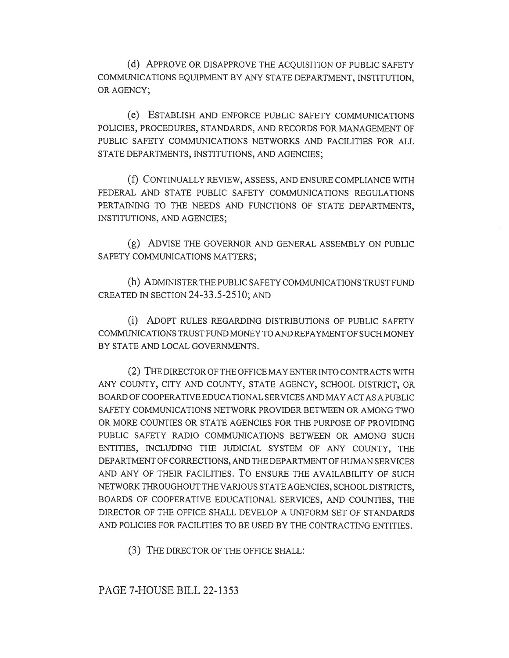(d) APPROVE OR DISAPPROVE THE ACQUISITION OF PUBLIC SAFETY COMMUNICATIONS EQUIPMENT BY ANY STATE DEPARTMENT, INSTITUTION, OR AGENCY;

(e) ESTABLISH AND ENFORCE PUBLIC SAFETY COMMUNICATIONS POLICIES, PROCEDURES, STANDARDS, AND RECORDS FOR MANAGEMENT OF PUBLIC SAFETY COMMUNICATIONS NETWORKS AND FACILITIES FOR ALL STATE DEPARTMENTS, INSTITUTIONS, AND AGENCIES;

(f) CONTINUALLY REVIEW, ASSESS, AND ENSURE COMPLIANCE WITH FEDERAL AND STATE PUBLIC SAFETY COMMUNICATIONS REGULATIONS PERTAINING TO THE NEEDS AND FUNCTIONS OF STATE DEPARTMENTS, INSTITUTIONS, AND AGENCIES;

(g) ADVISE THE GOVERNOR AND GENERAL ASSEMBLY ON PUBLIC SAFETY COMMUNICATIONS MATTERS;

(h) ADMINISTER THE PUBLIC SAFETY COMMUNICATIONS TRUST FUND CREATED IN SECTION 24-33.5-2510; AND

(i) ADOPT RULES REGARDING DISTRIBUTIONS OF PUBLIC SAFETY COMMUNICATIONS TRUST FUND MONEY TO AND REPAYMENT OF SUCH MONEY BY STATE AND LOCAL GOVERNMENTS.

(2) THE DIRECTOR OF THE OFFICE MAY ENTER INTO CONTRACTS WITH ANY COUNTY, CITY AND COUNTY, STATE AGENCY, SCHOOL DISTRICT, OR BOARD OF COOPERATIVE EDUCATIONAL SERVICES AND MAY ACT AS A PUBLIC SAFETY COMMUNICATIONS NETWORK PROVIDER BETWEEN OR AMONG TWO OR MORE COUNTIES OR STATE AGENCIES FOR THE PURPOSE OF PROVIDING PUBLIC SAFETY RADIO COMMUNICATIONS BETWEEN OR AMONG SUCH ENTITIES, INCLUDING THE JUDICIAL SYSTEM OF ANY COUNTY, THE DEPARTMENT OF CORRECTIONS, AND THE DEPARTMENT OF HUMAN SERVICES AND ANY OF THEIR FACILITIES. To ENSURE THE AVAILABILITY OF SUCH NETWORK THROUGHOUT THE VARIOUS STATE AGENCIES, SCHOOL DISTRICTS, BOARDS OF COOPERATIVE EDUCATIONAL SERVICES, AND COUNTIES, THE DIRECTOR OF THE OFFICE SHALL DEVELOP A UNIFORM SET OF STANDARDS AND POLICIES FOR FACILITIES TO BE USED BY THE CONTRACTING ENTITIES.

(3) THE DIRECTOR OF THE OFFICE SHALL:

PAGE 7-HOUSE BILL 22-1353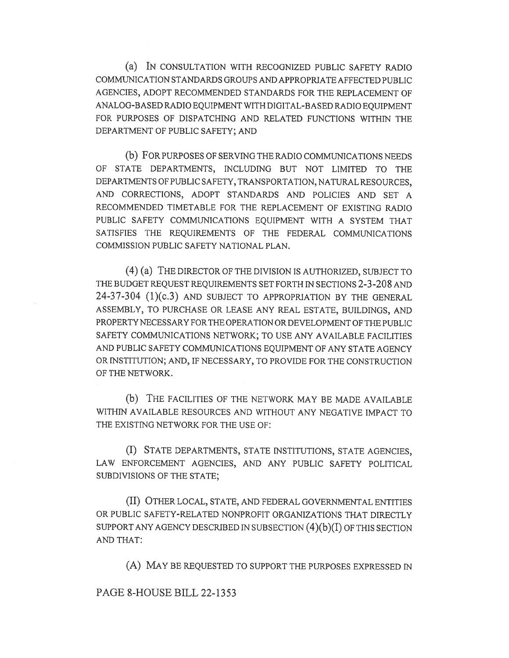(a) IN CONSULTATION WITH RECOGNIZED PUBLIC SAFETY RADIO COMMUNICATION STANDARDS GROUPS AND APPROPRIATE AFFECTED PUBLIC AGENCIES, ADOPT RECOMMENDED STANDARDS FOR THE REPLACEMENT OF ANALOG-BASED RADIO EQUIPMENT WITH DIGITAL-BASED RADIO EQUIPMENT FOR PURPOSES OF DISPATCHING AND RELATED FUNCTIONS WITHIN THE DEPARTMENT OF PUBLIC SAFETY; AND

(b) FOR PURPOSES OF SERVING THE RADIO COMMUNICATIONS NEEDS OF STATE DEPARTMENTS, INCLUDING BUT NOT LIMITED TO THE DEPARTMENTS OF PUBLIC SAFETY, TRANSPORTATION, NATURAL RESOURCES, AND CORRECTIONS, ADOPT STANDARDS AND POLICIES AND SET A RECOMMENDED TIMETABLE FOR THE REPLACEMENT OF EXISTING RADIO PUBLIC SAFETY COMMUNICATIONS EQUIPMENT WITH A SYSTEM THAT SATISFIES THE REQUIREMENTS OF THE FEDERAL COMMUNICATIONS COMMISSION PUBLIC SAFETY NATIONAL PLAN.

(4) (a) THE DIRECTOR OF THE DIVISION IS AUTHORIZED, SUBJECT TO THE BUDGET REQUEST REQUIREMENTS SET FORTH IN SECTIONS 2-3-208 AND 24-37-304 (1)(c.3) AND SUBJECT TO APPROPRIATION BY THE GENERAL ASSEMBLY, TO PURCHASE OR LEASE ANY REAL ESTATE, BUILDINGS, AND PROPERTY NECESSARY FOR THE OPERATION OR DEVELOPMENT OF THE PUBLIC SAFETY COMMUNICATIONS NETWORK; TO USE ANY AVAILABLE FACILITIES AND PUBLIC SAFETY COMMUNICATIONS EQUIPMENT OF ANY STATE AGENCY OR INSTITUTION; AND, IF NECESSARY, TO PROVIDE FOR THE CONSTRUCTION OF THE NETWORK.

(b) THE FACILITIES OF THE NETWORK MAY BE MADE AVAILABLE WITHIN AVAILABLE RESOURCES AND WITHOUT ANY NEGATIVE IMPACT TO THE EXISTING NETWORK FOR THE USE OF:

(I) STATE DEPARTMENTS, STATE INSTITUTIONS, STATE AGENCIES, LAW ENFORCEMENT AGENCIES, AND ANY PUBLIC SAFETY POLITICAL SUBDIVISIONS OF THE STATE;

(II) OTHER LOCAL, STATE, AND FEDERAL GOVERNMENTAL ENTITIES OR PUBLIC SAFETY-RELATED NONPROFIT ORGANIZATIONS THAT DIRECTLY SUPPORT ANY AGENCY DESCRIBED IN SUBSECTION  $(4)(b)(I)$  OF THIS SECTION AND THAT:

(A) MAY BE REQUESTED TO SUPPORT THE PURPOSES EXPRESSED IN

### PAGE 8-HOUSE BILL 22-1353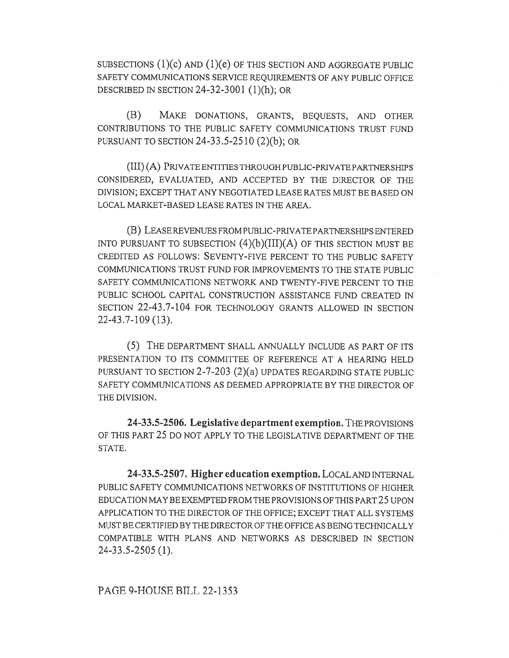SUBSECTIONS (1)(c) AND (1)(e) OF THIS SECTION AND AGGREGATE PUBLIC SAFETY COMMUNICATIONS SERVICE REQUIREMENTS OF ANY PUBLIC OFFICE DESCRIBED IN SECTION 24-32-3001 (1)(h); OR

(B) MAKE DONATIONS, GRANTS, BEQUESTS, AND OTHER CONTRIBUTIONS TO THE PUBLIC SAFETY COMMUNICATIONS TRUST FUND PURSUANT TO SECTION 24-33.5-2510 (2)(b); OR

(III) (A) PRIVATE ENTITIES THROUGH PUBLIC-PRIVATE PARTNERSHIPS CONSIDERED, EVALUATED, AND ACCEPTED BY THE DIRECTOR OF THE DIVISION; EXCEPT THAT ANY NEGOTIATED LEASE RATES MUST BE BASED ON LOCAL MARKET-BASED LEASE RATES IN THE AREA.

(B) LEASE REVENUES FROM PUBLIC-PRIVATE PARTNERSHIPS ENTERED INTO PURSUANT TO SUBSECTION  $(4)(b)(III)(A)$  OF THIS SECTION MUST BE CREDITED AS FOLLOWS: SEVENTY-FIVE PERCENT TO THE PUBLIC SAFETY COMMUNICATIONS TRUST FUND FOR IMPROVEMENTS TO THE STATE PUBLIC SAFETY COMMUNICATIONS NETWORK AND TWENTY-FIVE PERCENT TO THE PUBLIC SCHOOL CAPITAL CONSTRUCTION ASSISTANCE FUND CREATED IN SECTION 22-43.7-104 FOR TECHNOLOGY GRANTS ALLOWED IN SECTION 22-43.7-109 (13).

(5) THE DEPARTMENT SHALL ANNUALLY INCLUDE AS PART OF ITS PRESENTATION TO ITS COMMITTEE OF REFERENCE AT A HEARING HELD PURSUANT TO SECTION 2-7-203 (2)(a) UPDATES REGARDING STATE PUBLIC SAFETY COMMUNICATIONS AS DEEMED APPROPRIATE BY THE DIRECTOR OF THE DIVISION.

24-33.5-2506. Legislative department exemption. THE PROVISIONS OF THIS PART 25 DO NOT APPLY TO THE LEGISLATIVE DEPARTMENT OF THE STATE.

24-33.5-2507. Higher education exemption. LOCAL AND INTERNAL PUBLIC SAFETY COMMUNICATIONS NETWORKS OF INSTITUTIONS OF HIGHER EDUCATION MAY BE EXEMPTED FROM THE PROVISIONS OF THIS PART 25 UPON APPLICATION TO THE DIRECTOR OF THE OFFICE; EXCEPT THAT ALL SYSTEMS MUST BE CERTIFIED BY THE DIRECTOR OF THE OFFICE AS BEING TECHNICALLY COMPATIBLE WITH PLANS AND NETWORKS AS DESCRIBED IN SECTION 24-33.5-2505 (1).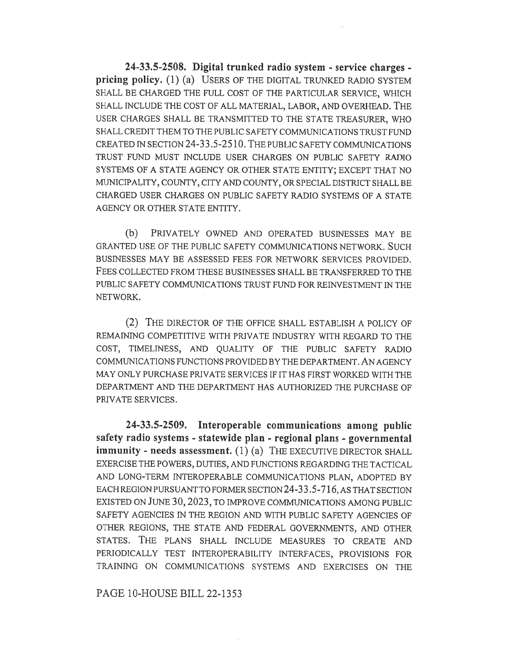24-33.5-2508. Digital trunked radio system - service charges pricing policy. (1) (a) USERS OF THE DIGITAL TRUNKED RADIO SYSTEM SHALL BE CHARGED THE FULL COST OF THE PARTICULAR SERVICE, WHICH SHALL INCLUDE THE COST OF ALL MATERIAL, LABOR, AND OVERHEAD. THE USER CHARGES SHALL BE TRANSMITTED TO THE STATE TREASURER, WHO SHALL CREDIT THEM TO THE PUBLIC SAFETY COMMUNICATIONS TRUST FUND CREATED IN SECTION 24-33.5-2510. THE PUBLIC SAFETY COMMUNICATIONS TRUST FUND MUST INCLUDE USER CHARGES ON PUBLIC SAFETY RADIO SYSTEMS OF A STATE AGENCY OR OTHER STATE ENTITY; EXCEPT THAT NO MUNICIPALITY, COUNTY, CITY AND COUNTY, OR SPECIAL DISTRICT SHALL BE CHARGED USER CHARGES ON PUBLIC SAFETY RADIO SYSTEMS OF A STATE AGENCY OR OTHER STATE ENTITY.

(b) PRIVATELY OWNED AND OPERATED BUSINESSES MAY BE GRANTED USE OF THE PUBLIC SAFETY COMMUNICATIONS NETWORK. SUCH BUSINESSES MAY BE ASSESSED FEES FOR NETWORK SERVICES PROVIDED. FEES COLLECTED FROM THESE BUSINESSES SHALL BE TRANSFERRED TO THE PUBLIC SAFETY COMMUNICATIONS TRUST FUND FOR REINVESTMENT IN THE NETWORK.

(2) THE DIRECTOR OF THE OFFICE SHALL ESTABLISH A POLICY OF REMAINING COMPETITIVE WITH PRIVATE INDUSTRY WITH REGARD TO THE COST, TIMELINESS, AND QUALITY OF THE PUBLIC SAFETY RADIO COMMUNICATIONS FUNCTIONS PROVIDED BY THE DEPARTMENT. AN AGENCY MAY ONLY PURCHASE PRIVATE SERVICES IF IT HAS FIRST WORKED WITH THE DEPARTMENT AND THE DEPARTMENT HAS AUTHORIZED THE PURCHASE OF PRIVATE SERVICES.

24-33.5-2509. Interoperable communications among public safety radio systems - statewide plan - regional plans - governmental immunity - needs assessment. (1) (a) THE EXECUTIVE DIRECTOR SHALL EXERCISE THE POWERS, DUTIES, AND FUNCTIONS REGARDING THE TACTICAL AND LONG-TERM INTEROPERABLE COMMUNICATIONS PLAN, ADOPTED BY EACH REGION PURSUANT TO FORMER SECTION 24-33.5-716, AS THAT SECTION EXISTED ON JUNE 30, 2023, TO IMPROVE COMMUNICATIONS AMONG PUBLIC SAFETY AGENCIES IN THE REGION AND WITH PUBLIC SAFETY AGENCIES OF OTHER REGIONS, THE STATE AND FEDERAL GOVERNMENTS, AND OTHER STATES. THE PLANS SHALL INCLUDE MEASURES TO CREATE AND PERIODICALLY TEST INTEROPERABILITY INTERFACES, PROVISIONS FOR TRAINING ON COMMUNICATIONS SYSTEMS AND EXERCISES ON THE

#### PAGE 10-HOUSE BILL 22-1353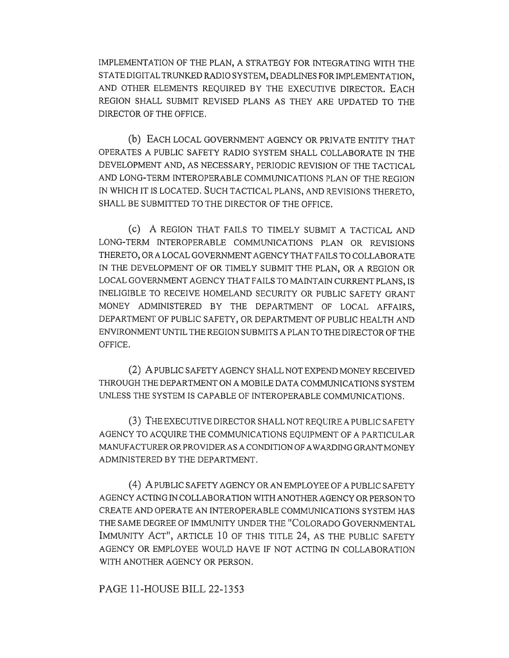IMPLEMENTATION OF THE PLAN, A STRATEGY FOR INTEGRATING WITH THE STATE DIGITAL TRUNKED RADIO SYSTEM, DEADLINES FOR IMPLEMENTATION, AND OTHER ELEMENTS REQUIRED BY THE EXECUTIVE DIRECTOR. EACH REGION SHALL SUBMIT REVISED PLANS AS THEY ARE UPDATED TO THE DIRECTOR OF THE OFFICE.

(b) EACH LOCAL GOVERNMENT AGENCY OR PRIVATE ENTITY THAT OPERATES A PUBLIC SAFETY RADIO SYSTEM SHALL COLLABORATE IN THE DEVELOPMENT AND, AS NECESSARY, PERIODIC REVISION OF THE TACTICAL AND LONG-TERM INTEROPERABLE COMMUNICATIONS PLAN OF THE REGION IN WHICH IT IS LOCATED. SUCH TACTICAL PLANS, AND REVISIONS THERETO, SHALL BE SUBMITTED TO THE DIRECTOR OF THE OFFICE.

(c) A REGION THAT FAILS TO TIMELY SUBMIT A TACTICAL AND LONG-TERM INTEROPERABLE COMMUNICATIONS PLAN OR REVISIONS THERETO, OR A LOCAL GOVERNMENT AGENCY THAT FAILS TO COLLABORATE IN THE DEVELOPMENT OF OR TIMELY SUBMIT THE PLAN, OR A REGION OR LOCAL GOVERNMENT AGENCY THAT FAILS TO MAINTAIN CURRENT PLANS, IS INELIGIBLE TO RECEIVE HOMELAND SECURITY OR PUBLIC SAFETY GRANT MONEY ADMINISTERED BY THE DEPARTMENT OF LOCAL AFFAIRS, DEPARTMENT OF PUBLIC SAFETY, OR DEPARTMENT OF PUBLIC HEALTH AND ENVIRONMENT UNTIL THE REGION SUBMITS A PLAN TO THE DIRECTOR OF THE OFFICE.

(2) A PUBLIC SAFETY AGENCY SHALL NOT EXPEND MONEY RECEIVED THROUGH THE DEPARTMENT ON A MOBILE DATA COMMUNICATIONS SYSTEM UNLESS THE SYSTEM IS CAPABLE OF INTEROPERABLE COMMUNICATIONS.

(3) THE EXECUTIVE DIRECTOR SHALL NOT REQUIRE A PUBLIC SAFETY AGENCY TO ACQUIRE THE COMMUNICATIONS EQUIPMENT OF A PARTICULAR MANUFACTURER OR PROVIDER AS A CONDITION OF AWARDING GRANT MONEY ADMINISTERED BY THE DEPARTMENT.

(4) A PUBLIC SAFETY AGENCY OR AN EMPLOYEE OF A PUBLIC SAFETY AGENCY ACTING IN COLLABORATION WITH ANOTHER AGENCY OR PERSON TO CREATE AND OPERATE AN INTEROPERABLE COMMUNICATIONS SYSTEM HAS THE SAME DEGREE OF IMMUNITY UNDER THE "COLORADO GOVERNMENTAL IMMUNITY ACT", ARTICLE 10 OF THIS TITLE 24, AS THE PUBLIC SAFETY AGENCY OR EMPLOYEE WOULD HAVE IF NOT ACTING IN COLLABORATION WITH ANOTHER AGENCY OR PERSON.

PAGE 11-HOUSE BILL 22-1353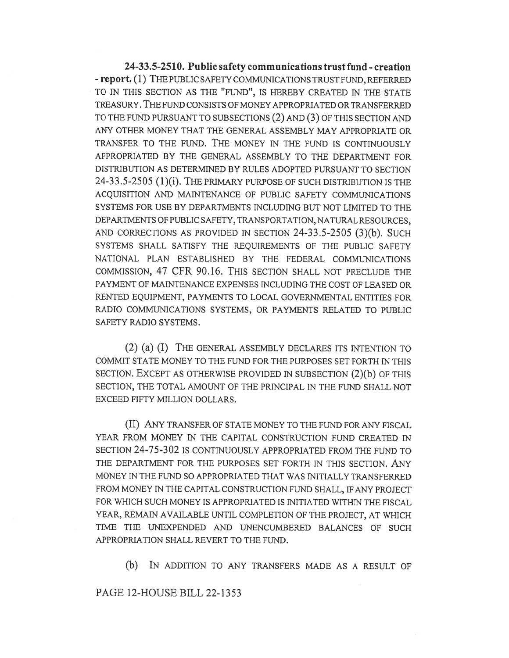24-33.5-2510. Public safety communications trust fund - creation - report. (1) THE PUBLIC SAFETY COMMUNICATIONS TRUST FUND, REFERRED TO IN THIS SECTION AS THE "FUND", IS HEREBY CREATED IN THE STATE TREASURY. THE FUND CONSISTS OF MONEY APPROPRIATED OR TRANSFERRED TO THE FUND PURSUANT TO SUBSECTIONS (2) AND (3) OF THIS SECTION AND ANY OTHER MONEY THAT THE GENERAL ASSEMBLY MAY APPROPRIATE OR TRANSFER TO THE FUND. THE MONEY IN THE FUND IS CONTINUOUSLY APPROPRIATED BY THE GENERAL ASSEMBLY TO THE DEPARTMENT FOR DISTRIBUTION AS DETERMINED BY RULES ADOPTED PURSUANT TO SECTION 24-33.5-2505 (1)(i). THE PRIMARY PURPOSE OF SUCH DISTRIBUTION IS THE ACQUISITION AND MAINTENANCE OF PUBLIC SAFETY COMMUNICATIONS SYSTEMS FOR USE BY DEPARTMENTS INCLUDING BUT NOT LIMITED TO THE DEPARTMENTS OF PUBLIC SAFETY, TRANSPORTATION, NATURAL RESOURCES, AND CORRECTIONS AS PROVIDED IN SECTION 24-33.5-2505 (3)(b). SUCH SYSTEMS SHALL SATISFY THE REQUIREMENTS OF THE PUBLIC SAFETY NATIONAL PLAN ESTABLISHED BY THE FEDERAL COMMUNICATIONS COMMISSION, 47 CFR 90.16. THIS SECTION SHALL NOT PRECLUDE THE PAYMENT OF MAINTENANCE EXPENSES INCLUDING THE COST OF LEASED OR RENTED EQUIPMENT, PAYMENTS TO LOCAL GOVERNMENTAL ENTITIES FOR RADIO COMMUNICATIONS SYSTEMS, OR PAYMENTS RELATED TO PUBLIC SAFETY RADIO SYSTEMS.

(2) (a) (I) THE GENERAL ASSEMBLY DECLARES ITS INTENTION TO COMMIT STATE MONEY TO THE FUND FOR THE PURPOSES SET FORTH IN THIS SECTION. EXCEPT AS OTHERWISE PROVIDED IN SUBSECTION (2)(b) OF THIS SECTION, THE TOTAL AMOUNT OF THE PRINCIPAL IN THE FUND SHALL NOT EXCEED FIFTY MILLION DOLLARS.

(II) ANY TRANSFER OF STATE MONEY TO THE FUND FOR ANY FISCAL YEAR FROM MONEY IN THE CAPITAL CONSTRUCTION FUND CREATED IN SECTION 24-75-302 IS CONTINUOUSLY APPROPRIATED FROM THE FUND TO THE DEPARTMENT FOR THE PURPOSES SET FORTH IN THIS SECTION. ANY MONEY IN THE FUND SO APPROPRIATED THAT WAS INITIALLY TRANSFERRED FROM MONEY IN THE CAPITAL CONSTRUCTION FUND SHALL, IF ANY PROJECT FOR WHICH SUCH MONEY IS APPROPRIATED IS INITIATED WITHIN THE FISCAL YEAR, REMAIN AVAILABLE UNTIL COMPLETION OF THE PROJECT, AT WHICH TIME THE UNEXPENDED AND UNENCUMBERED BALANCES OF SUCH APPROPRIATION SHALL REVERT TO THE FUND.

(b) IN ADDITION TO ANY TRANSFERS MADE AS A RESULT OF

PAGE 12-HOUSE BILL 22-1353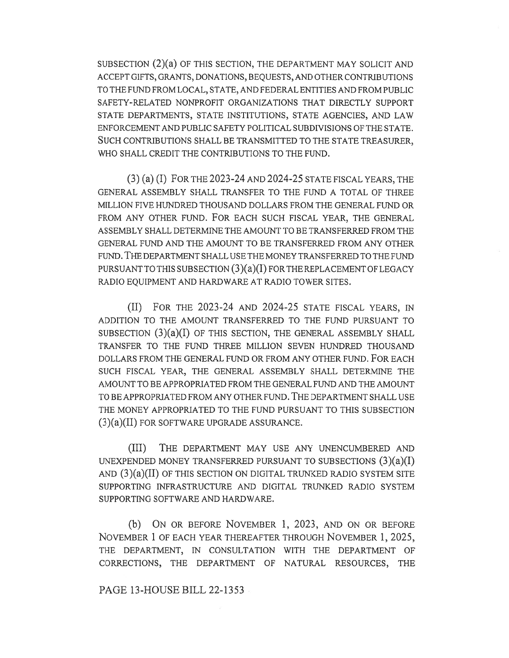SUBSECTION (2)(a) OF THIS SECTION, THE DEPARTMENT MAY SOLICIT AND ACCEPT GIFTS, GRANTS, DONATIONS, BEQUESTS, AND OTHER CONTRIBUTIONS TO THE FUND FROM LOCAL, STATE, AND FEDERAL ENTITIES AND FROM PUBLIC SAFETY-RELATED NONPROFIT ORGANIZATIONS THAT DIRECTLY SUPPORT STATE DEPARTMENTS, STATE INSTITUTIONS, STATE AGENCIES, AND LAW ENFORCEMENT AND PUBLIC SAFETY POLITICAL SUBDIVISIONS OF THE STATE. SUCH CONTRIBUTIONS SHALL BE TRANSMITTED TO THE STATE TREASURER, WHO SHALL CREDIT THE CONTRIBUTIONS TO THE FUND.

(3) (a) (I) FOR THE 2023-24 AND 2024-25 STATE FISCAL YEARS, THE GENERAL ASSEMBLY SHALL TRANSFER TO THE FUND A TOTAL OF THREE MILLION FIVE HUNDRED THOUSAND DOLLARS FROM THE GENERAL FUND OR FROM ANY OTHER FUND. FOR EACH SUCH FISCAL YEAR, THE GENERAL ASSEMBLY SHALL DETERMINE THE AMOUNT TO BE TRANSFERRED FROM THE GENERAL FUND AND THE AMOUNT TO BE TRANSFERRED FROM ANY OTHER FUND. THE DEPARTMENT SHALL USE THE MONEY TRANSFERRED TO THE FUND PURSUANT TO THIS SUBSECTION  $(3)(a)(I)$  FOR THE REPLACEMENT OF LEGACY RADIO EQUIPMENT AND HARDWARE AT RADIO TOWER SITES.

(II) FOR THE 2023-24 AND 2024-25 STATE FISCAL YEARS, IN ADDITION TO THE AMOUNT TRANSFERRED TO THE FUND PURSUANT TO SUBSECTION  $(3)(a)(I)$  OF THIS SECTION, THE GENERAL ASSEMBLY SHALL TRANSFER TO THE FUND THREE MILLION SEVEN HUNDRED THOUSAND DOLLARS FROM THE GENERAL FUND OR FROM ANY OTHER FUND. FOR EACH SUCH FISCAL YEAR, THE GENERAL ASSEMBLY SHALL DETERMINE THE AMOUNT TO BE APPROPRIATED FROM THE GENERAL FUND AND THE AMOUNT TO BE APPROPRIATED FROM ANY OTHER FUND. THE DEPARTMENT SHALL USE THE MONEY APPROPRIATED TO THE FUND PURSUANT TO THIS SUBSECTION (3)(a)(II) FOR SOFTWARE UPGRADE ASSURANCE.

(III) THE DEPARTMENT MAY USE ANY UNENCUMBERED AND UNEXPENDED MONEY TRANSFERRED PURSUANT TO SUBSECTIONS  $(3)(a)(I)$ AND (3)(a)(II) OF THIS SECTION ON DIGITAL TRUNKED RADIO SYSTEM SITE SUPPORTING INFRASTRUCTURE AND DIGITAL TRUNKED RADIO SYSTEM SUPPORTING SOFTWARE AND HARDWARE.

(b) ON OR BEFORE NOVEMBER 1, 2023, AND ON OR BEFORE NOVEMBER 1 OF EACH YEAR THEREAFTER THROUGH NOVEMBER 1, 2025, THE DEPARTMENT, IN CONSULTATION WITH THE DEPARTMENT OF CORRECTIONS, THE DEPARTMENT OF NATURAL RESOURCES, THE

PAGE 13-HOUSE BILL 22-1353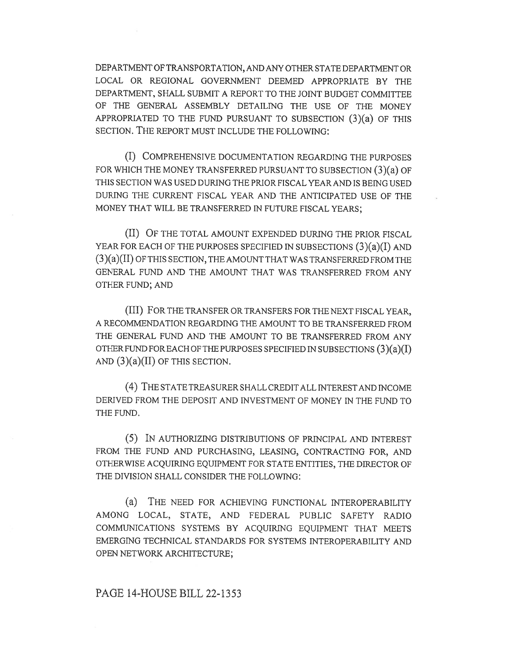DEPARTMENT OF TRANSPORTATION, AND ANY OTHER STATE DEPARTMENT OR LOCAL OR REGIONAL GOVERNMENT DEEMED APPROPRIATE BY THE DEPARTMENT, SHALL SUBMIT A REPORT TO THE JOINT BUDGET COMMITTEE OF THE GENERAL ASSEMBLY DETAILING THE USE OF THE MONEY APPROPRIATED TO THE FUND PURSUANT TO SUBSECTION (3)(a) OF THIS SECTION. THE REPORT MUST INCLUDE THE FOLLOWING:

(I) COMPREHENSIVE DOCUMENTATION REGARDING THE PURPOSES FOR WHICH THE MONEY TRANSFERRED PURSUANT TO SUBSECTION (3)(a) OF THIS SECTION WAS USED DURING THE PRIOR FISCAL YEAR AND IS BEING USED DURING THE CURRENT FISCAL YEAR AND THE ANTICIPATED USE OF THE MONEY THAT WILL BE TRANSFERRED IN FUTURE FISCAL YEARS;

(II) OF THE TOTAL AMOUNT EXPENDED DURING THE PRIOR FISCAL YEAR FOR EACH OF THE PURPOSES SPECIFIED IN SUBSECTIONS  $(3)(a)(I)$  and (3)(a)(II) OF THIS SECTION, THE AMOUNT THAT WAS TRANSFERRED FROM THE GENERAL FUND AND THE AMOUNT THAT WAS TRANSFERRED FROM ANY OTHER FUND; AND

(III) FOR THE TRANSFER OR TRANSFERS FOR THE NEXT FISCAL YEAR, A RECOMMENDATION REGARDING THE AMOUNT TO BE TRANSFERRED FROM THE GENERAL FUND AND THE AMOUNT TO BE TRANSFERRED FROM ANY OTHER FUND FOR EACH OF THE PURPOSES SPECIFIED IN SUBSECTIONS (3)(a)(I) AND  $(3)(a)(II)$  OF THIS SECTION.

(4) THE STATE TREASURER SHALL CREDIT ALL INTEREST AND INCOME DERIVED FROM THE DEPOSIT AND INVESTMENT OF MONEY IN THE FUND TO THE FUND.

(5) IN AUTHORIZING DISTRIBUTIONS OF PRINCIPAL AND INTEREST FROM THE FUND AND PURCHASING, LEASING, CONTRACTING FOR, AND OTHERWISE ACQUIRING EQUIPMENT FOR STATE ENTITIES, THE DIRECTOR OF THE DIVISION SHALL CONSIDER THE FOLLOWING:

(a) THE NEED FOR ACHIEVING FUNCTIONAL INTEROPERABILITY AMONG LOCAL, STATE, AND FEDERAL PUBLIC SAFETY RADIO COMMUNICATIONS SYSTEMS BY ACQUIRING EQUIPMENT THAT MEETS EMERGING TECHNICAL STANDARDS FOR SYSTEMS INTEROPERABILITY AND OPEN NETWORK ARCHITECTURE;

## PAGE 14-HOUSE BILL 22-1353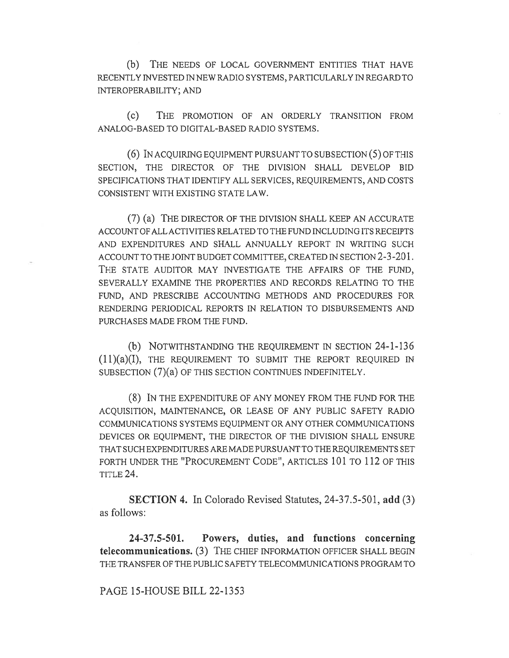(b) THE NEEDS OF LOCAL GOVERNMENT ENTITIES THAT HAVE RECENTLY INVESTED IN NEW RADIO SYSTEMS, PARTICULARLY IN REGARD TO INTEROPERABILITY; AND

(c) THE PROMOTION OF AN ORDERLY TRANSITION FROM ANALOG-BASED TO DIGITAL-BASED RADIO SYSTEMS.

(6) IN ACQUIRING EQUIPMENT PURSUANT TO SUBSECTION (5) OF THIS SECTION, THE DIRECTOR OF THE DIVISION SHALL DEVELOP BID SPECIFICATIONS THAT IDENTIFY ALL SERVICES, REQUIREMENTS, AND COSTS CONSISTENT WITH EXISTING STATE LAW.

(7) (a) THE DIRECTOR OF THE DIVISION SHALL KEEP AN ACCURATE ACCOUNT OF ALL ACTIVITIES RELATED TO THE FUND INCLUDING ITS RECEIPTS AND EXPENDITURES AND SHALL ANNUALLY REPORT IN WRITING SUCH ACCOUNT TO THE JOINT BUDGET COMMITTEE, CREATED IN SECTION 2-3-201. THE STATE AUDITOR MAY INVESTIGATE THE AFFAIRS OF THE FUND, SEVERALLY EXAMINE THE PROPERTIES AND RECORDS RELATING TO THE FUND, AND PRESCRIBE ACCOUNTING METHODS AND PROCEDURES FOR RENDERING PERIODICAL REPORTS IN RELATION TO DISBURSEMENTS AND PURCHASES MADE FROM THE FUND.

(b) NOTWITHSTANDING THE REQUIREMENT IN SECTION 24-1-136 (11)(a)(I), THE REQUIREMENT TO SUBMIT THE REPORT REQUIRED IN SUBSECTION (7)(a) OF THIS SECTION CONTINUES INDEFINITELY.

(8) IN THE EXPENDITURE OF ANY MONEY FROM THE FUND FOR THE ACQUISITION, MAINTENANCE, OR LEASE OF ANY PUBLIC SAFETY RADIO COMMUNICATIONS SYSTEMS EQUIPMENT OR ANY OTHER COMMUNICATIONS DEVICES OR EQUIPMENT, THE DIRECTOR OF THE DIVISION SHALL ENSURE THAT SUCH EXPENDITURES ARE MADE PURSUANT TO THE REQUIREMENTS SET FORTH UNDER THE "PROCUREMENT CODE", ARTICLES 101 TO 112 OF THIS TITLE 24.

SECTION 4. In Colorado Revised Statutes, 24-37.5-501, add (3) as follows:

24-37.5-501. Powers, duties, and functions concerning telecommunications. (3) THE CHIEF INFORMATION OFFICER SHALL BEGIN THE TRANSFER OF THE PUBLIC SAFETY TELECOMMUNICATIONS PROGRAM TO

PAGE 15-HOUSE BILL 22-1353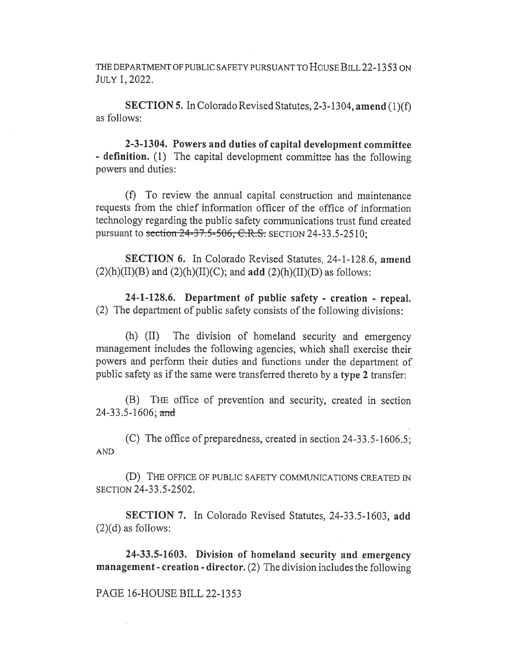THE DEPARTMENT OF PUBLIC SAFETY PURSUANT TO HOUSE BILL 22-1353 ON JULY 1, 2022.

SECTION 5. In Colorado Revised Statutes, 2-3-1304, amend (1)(f) as follows:

2-3-1304. Powers and duties of capital development committee - definition. (1) The capital development committee has the following powers and duties:

(f) To review the annual capital construction and maintenance requests from the chief information officer of the office of information technology regarding the public safety communications trust fund created pursuant to section 24-37.5-506, C.R.S. SECTION 24-33.5-2510;

SECTION 6. In Colorado Revised Statutes, 24-1-128.6, amend  $(2)(h)(II)(B)$  and  $(2)(h)(II)(C)$ ; and add  $(2)(h)(II)(D)$  as follows:

24-1-128.6. Department of public safety - creation - repeal. (2) The department of public safety consists of the following divisions:

(h) (II) The division of homeland security and emergency management includes the following agencies, which shall exercise their powers and perform their duties and functions under the department of public safety as if the same were transferred thereto by a type 2 transfer:

(B) THE office of prevention and security, created in section 24-33.5-1606; and

(C) The office of preparedness, created in section 24-33.5-1606.5; AND

(D) THE OFFICE OF PUBLIC SAFETY COMMUNICATIONS CREATED IN SECTION 24-33.5-2502.

SECTION 7. In Colorado Revised Statutes, 24-33.5-1603, add  $(2)(d)$  as follows:

24-33.5-1603. Division of homeland security and emergency management - creation - director. (2) The division includes the following

# PAGE 16-HOUSE BILL 22-1353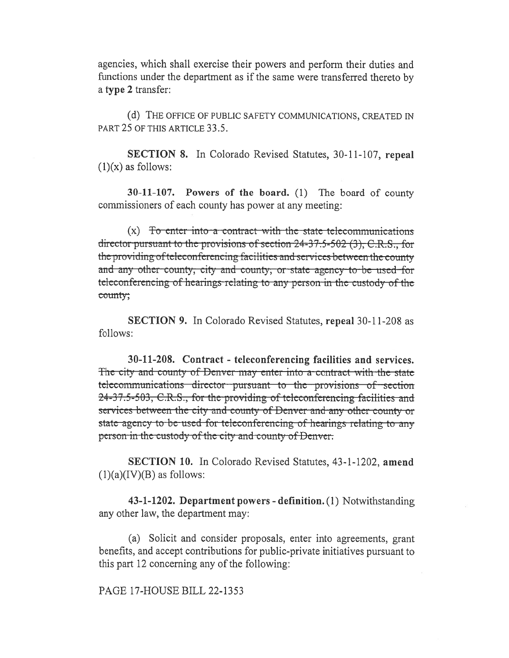agencies, which shall exercise their powers and perform their duties and functions under the department as if the same were transferred thereto by a type 2 transfer:

(d) THE OFFICE OF PUBLIC SAFETY COMMUNICATIONS, CREATED IN PART 25 OF THIS ARTICLE 33.5.

**SECTION 8.** In Colorado Revised Statutes, 30-11-107, repeal  $(1)(x)$  as follows:

30-11-107. Powers of the board. (1) The board of county commissioners of each county has power at any meeting:

 $(x)$  To enter into a contract with the state telecommunications director pursuant to the provisions of section 24-37.5-502 (3), C.R.S., for the providing of teleconferencing facilities and services between the county and any other county; city and county; or state agency to be used for teleconferencing of hearings relating to any person in the custody of the county;

**SECTION 9.** In Colorado Revised Statutes, repeal 30-11-208 as follows:

30-11-208. Contract - teleconferencing facilities and services. The city and county of Denver may enter into a contract with the state telecommunications director pursuant to the provisions of section 24-37.5-503, C.R.S., for the providing of teleconferencing facilities and services between the city and county of Denver and any other county or state agency to be used for teleconferencing of hearings relating to any person in the custody of the city and county of Denver.

**SECTION 10.** In Colorado Revised Statutes, 43-1-1202, amend  $(1)(a)(IV)(B)$  as follows:

43-1-1202. Department powers - definition. (1) Notwithstanding any other law, the department may:

(a) Solicit and consider proposals, enter into agreements, grant benefits, and accept contributions for public-private initiatives pursuant to this part 12 concerning any of the following:

PAGE 17-HOUSE BILL 22-1353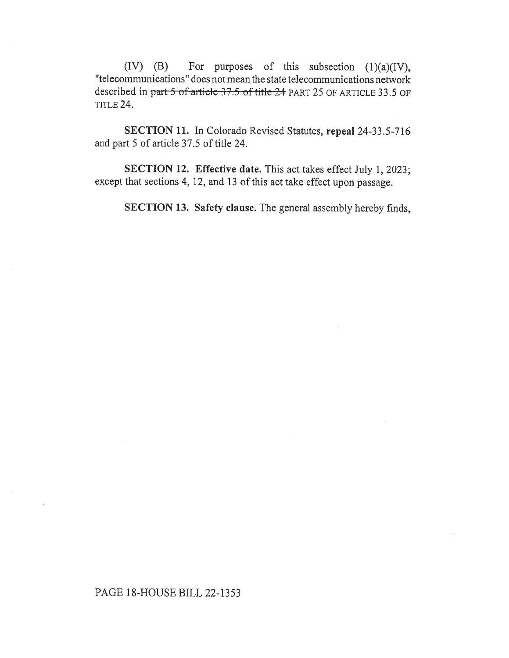(IV) (B) For purposes of this subsection (1)(a)(IV), "telecommunications" does not mean the state telecommunications network described in part 5 of article 37.5 of title 24 PART 25 OF ARTICLE 33.5 OF TITLE 24.

SECTION 11. In Colorado Revised Statutes, repeal 24-33.5-716 and part 5 of article 37.5 of title 24.

SECTION 12. Effective date. This act takes effect July 1, 2023; except that sections 4, 12, and 13 of this act take effect upon passage.

SECTION 13. Safety clause. The general assembly hereby finds,

# PAGE 18-HOUSE BILL 22-1353